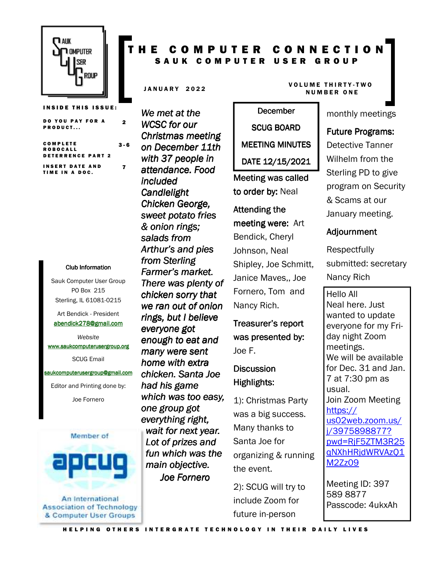

**INSIDE THIS ISSUE:** DO YOU PAY FOR A PRODUCT... 2

C O M P L E T E **ROBOCALL** DETERRENCE PART 2 3 - 6 **INSERT DATE AND** TIME IN A DOC. 7

#### Club Information Club Information

Sauk Computer User Group PO Box 215 Sterling, IL 61081-0215

Art Bendick - President abendick278@gmail.com

*Website*  www.saukcomputerusergroup.org

SCUG Email

#### saukcomputerusergroup@gmail.com

Editor and Printing done by: Joe Fornero



An International **Association of Technology** & Computer User Groups

## T H E C O M P U T E R C O N N E C T I O N SAUK COMPUTER USER GROUP

*We met at the WCSC for our Christmas meeting on December 11th with 37 people in attendance. Food included Candlelight Chicken George, sweet potato fries & onion rings; salads from Arthur's and pies from Sterling Farmer's market. There was plenty of chicken sorry that we ran out of onion rings, but I believe everyone got enough to eat and many were sent home with extra chicken. Santa Joe had his game which was too easy, one group got everything right, wait for next year. Lot of prizes and fun which was the*  main objective. *Joe Fornero* 

#### JANUARY 2022 VOLUME THIRTY-TWO **NUMBER ONE**

# **December** SCUG BOARD MEETING MINUTES DATE 12/15/2021

Meeting was called to order by: Neal

## Attending the meeting were: Art

Bendick, Cheryl Johnson, Neal Shipley, Joe Schmitt, Janice Maves,, Joe Fornero, Tom and Nancy Rich.

Treasurer's report was presented by: Joe F.

**Discussion** Highlights:

1): Christmas Party was a big success. Many thanks to Santa Joe for organizing & running the event.

2): SCUG will try to include Zoom for future in-person

monthly meetings

#### Future Programs:

Detective Tanner Wilhelm from the Sterling PD to give program on Security & Scams at our January meeting.

## **Adjournment**

Respectfully submitted: secretary Nancy Rich

Hello All Neal here. Just wanted to update everyone for my Friday night Zoom meetings. We will be available for Dec. 31 and Jan. 7 at 7:30 pm as usual. Join Zoom Meeting https:// us02web.zoom.us/ j/3975898877? pwd=RjF5ZTM3R25 qNXhHRjdWRVAzQ1 M2Zz09

Meeting ID: 397 589 8877 Passcode: 4ukxAh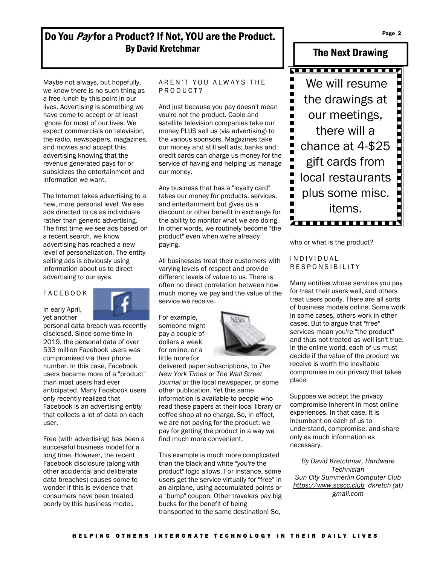Do You Pay for a Product? If Not, YOU are the Product. By David Kretchmar

Maybe not always, but hopefully, we know there is no such thing as a free lunch by this point in our lives. Advertising is something we have come to accept or at least ignore for most of our lives. We expect commercials on television, the radio, newspapers, magazines, and movies and accept this advertising knowing that the revenue generated pays for or subsidizes the entertainment and information we want.

The Internet takes advertising to a new, more personal level. We see ads directed to us as individuals rather than generic advertising. The first time we see ads based on a recent search, we know advertising has reached a new level of personalization. The entity selling ads is obviously using information about us to direct advertising to our eyes.

#### F A C E B O O K

In early April, yet another

personal data breach was recently disclosed. Since some time in 2019, the personal data of over 533 million Facebook users was compromised via their phone number. In this case, Facebook users became more of a "product" than most users had ever anticipated. Many Facebook users only recently realized that Facebook is an advertising entity that collects a lot of data on each user.

Free (with advertising) has been a successful business model for a long time. However, the recent Facebook disclosure (along with other accidental and deliberate data breaches) causes some to wonder if this is evidence that consumers have been treated poorly by this business model.

#### AREN'T YOU ALWAYS THE P R O D U C T ?

And just because you pay doesn't mean you're not the product. Cable and satellite television companies take our money PLUS sell us (via advertising) to the various sponsors. Magazines take our money and still sell ads; banks and credit cards can charge us money for the service of having and helping us manage our money.

Any business that has a "loyalty card" takes our money for products, services, and entertainment but gives us a discount or other benefit in exchange for the ability to monitor what we are doing. In other words, we routinely become "the product" even when we're already paying.

All businesses treat their customers with varying levels of respect and provide different levels of value to us. There is often no direct correlation between how much money we pay and the value of the service we receive.

For example, someone might pay a couple of dollars a week for online, or a little more for



delivered paper subscriptions, to *The New York Times* or *The Wall Street Journal* or the local newspaper, or some other publication*.* Yet this same information is available to people who read these papers at their local library or coffee shop at no charge. So, in effect, we are not paying for the product; we pay for getting the product in a way we find much more convenient.

This example is much more complicated than the black and white "you're the product" logic allows. For instance, some users get the service virtually for "free" in an airplane, using accumulated points or a "bump" coupon. Other travelers pay big bucks for the benefit of being transported to the same destination! So,



who or what is the product?

#### I N D I V I D U A L R E S P O N S I B I L I T Y

Many entities whose services you pay for treat their users well, and others treat users poorly. There are all sorts of business models online. Some work in some cases, others work in other cases. But to argue that "free" services mean you're "the product" and thus not treated as well isn't true. In the online world, each of us must decide if the value of the product we receive is worth the inevitable compromise in our privacy that takes place.

Suppose we accept the privacy compromise inherent in most online experiences. In that case, it is incumbent on each of us to understand, compromise, and share only as much information as necessary.

*By David Kretchmar, Hardware Technician Sun City Summerlin Computer Club https://www.scscc.club dkretch (at) gmail.com*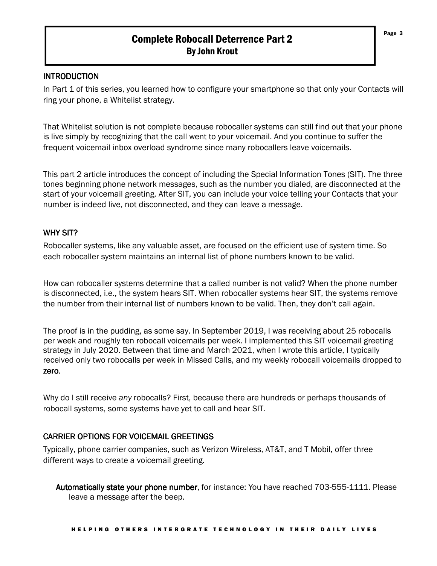## Complete Robocall Deterrence Part 2 By John Krout

### **INTRODUCTION**

In Part 1 of this series, you learned how to configure your smartphone so that only your Contacts will ring your phone, a Whitelist strategy.

That Whitelist solution is not complete because robocaller systems can still find out that your phone is live simply by recognizing that the call went to your voicemail. And you continue to suffer the frequent voicemail inbox overload syndrome since many robocallers leave voicemails.

This part 2 article introduces the concept of including the Special Information Tones (SIT). The three tones beginning phone network messages, such as the number you dialed, are disconnected at the start of your voicemail greeting. After SIT, you can include your voice telling your Contacts that your number is indeed live, not disconnected, and they can leave a message.

## WHY SIT?

Robocaller systems, like any valuable asset, are focused on the efficient use of system time. So each robocaller system maintains an internal list of phone numbers known to be valid.

How can robocaller systems determine that a called number is not valid? When the phone number is disconnected, i.e., the system hears SIT. When robocaller systems hear SIT, the systems remove the number from their internal list of numbers known to be valid. Then, they don't call again.

The proof is in the pudding, as some say. In September 2019, I was receiving about 25 robocalls per week and roughly ten robocall voicemails per week. I implemented this SIT voicemail greeting strategy in July 2020. Between that time and March 2021, when I wrote this article, I typically received only two robocalls per week in Missed Calls, and my weekly robocall voicemails dropped to zero.

Why do I still receive *any* robocalls? First, because there are hundreds or perhaps thousands of robocall systems, some systems have yet to call and hear SIT.

## CARRIER OPTIONS FOR VOICEMAIL GREETINGS

Typically, phone carrier companies, such as Verizon Wireless, AT&T, and T Mobil, offer three different ways to create a voicemail greeting.

Automatically state your phone number, for instance: You have reached 703-555-1111. Please leave a message after the beep.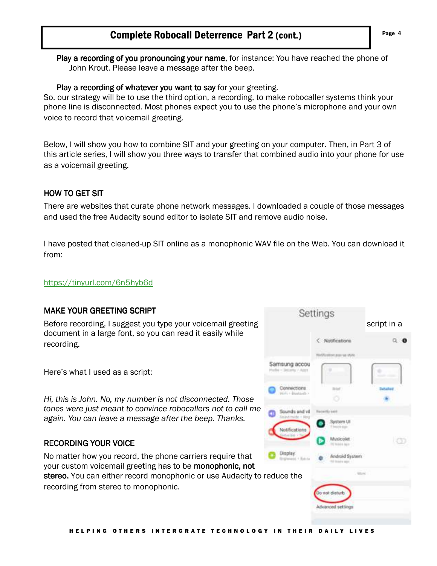# Complete Robocall Deterrence Part 2 (cont.) Fage 4

Play a recording of you pronouncing your name, for instance: You have reached the phone of John Krout. Please leave a message after the beep.

#### Play a recording of whatever you want to say for your greeting.

So, our strategy will be to use the third option, a recording, to make robocaller systems think your phone line is disconnected. Most phones expect you to use the phone's microphone and your own voice to record that voicemail greeting.

Below, I will show you how to combine SIT and your greeting on your computer. Then, in Part 3 of this article series, I will show you three ways to transfer that combined audio into your phone for use as a voicemail greeting.

### **HOW TO GET SIT**

There are websites that curate phone network messages. I downloaded a couple of those messages and used the free Audacity sound editor to isolate SIT and remove audio noise.

I have posted that cleaned-up SIT online as a monophonic WAV file on the Web. You can download it from:

### https://tinyurl.com/6n5hyb6d

### MAKE YOUR GREETING SCRIPT

Before recording, I suggest you type your voicemail greeting script in a script in a document in a large font, so you can read it easily while recording.

Here's what I used as a script:

*Hi, this is John. No, my number is not disconnected. Those tones were just meant to convince robocallers not to call me again. You can leave a message after the beep. Thanks.*

### RECORDING YOUR VOICE RECORDING VOICE

No matter how you record, the phone carriers require that your custom voicemail greeting has to be **monophonic, not** stereo. You can either record monophonic or use Audacity to reduce the recording from stereo to monophonic.

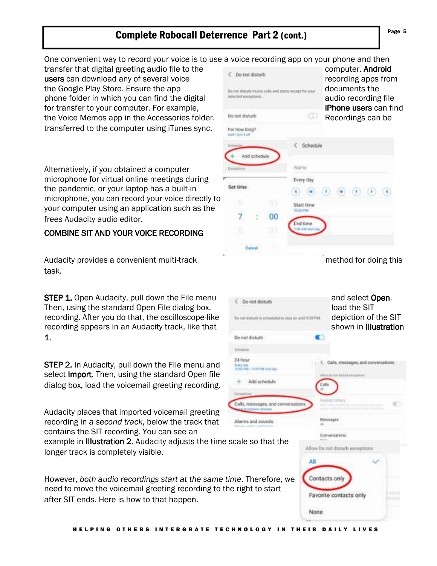# Complete Robocall Deterrence Part 2 (cont.) **Page 5** Page 5

One convenient way to record your voice is to use a voice recording app on your phone and then

transfer that digital greeting audio file to the users can download any of several voice the Google Play Store. Ensure the app phone folder in which you can find the digital for transfer to your computer. For example, the Voice Memos app in the Accessories folder. transferred to the computer using iTunes sync.

Alternatively, if you obtained a computer microphone for virtual online meetings during the pandemic, or your laptop has a built-in microphone, you can record your voice directly to your computer using an application such as the frees Audacity audio editor.

### COMBINE SIT AND YOUR VOICE RECORDING

Audacity provides a convenient multi-track method for doing this task.

**STEP 1.** Open Audacity, pull down the File menu  $\epsilon$  beneficially and select Open. Then, using the standard Open File dialog box, local the SIT load the SIT recording. After you do that, the oscilloscope-like depiction of the SIT recording appears in an Audacity track, like that shown in Illustration shown in Illustration 1.

STEP 2. In Audacity, pull down the File menu and select **Import**. Then, using the standard Open file dialog box, load the voicemail greeting recording.

Audacity places that imported voicemail greeting recording in *a second track*, below the track that contains the SIT recording. You can see an

example in **Illustration 2.** Audacity adjusts the time scale so that the longer track is completely visible.

However, *both audio recordings start at the same time*. Therefore, we need to move the voicemail greeting recording to the right to start after SIT ends. Here is how to that happen.

**Bridgewald** 34 hour

| C Do not disturb<br>Do not illuturb reutes salls and abets except for your<br>selected exceptors. |                                                             | a voice recording app on your prioric and them<br>computer. Android<br>recording apps from<br>documents the<br>audio recording file<br>iPhone users can find |
|---------------------------------------------------------------------------------------------------|-------------------------------------------------------------|--------------------------------------------------------------------------------------------------------------------------------------------------------------|
| Do not disturb                                                                                    |                                                             | Recordings can be                                                                                                                                            |
| For how long?<br>town't have it self.                                                             |                                                             |                                                                                                                                                              |
| dd schedule<br>wattane<br>Set time                                                                | C Schedule<br>Viarna<br>Every day                           | $(\mathbf{x})$                                                                                                                                               |
| 00                                                                                                | Start time<br>TIL 03-1784<br>hd time.<br><b>EL AND NORT</b> |                                                                                                                                                              |
|                                                                                                   |                                                             |                                                                                                                                                              |

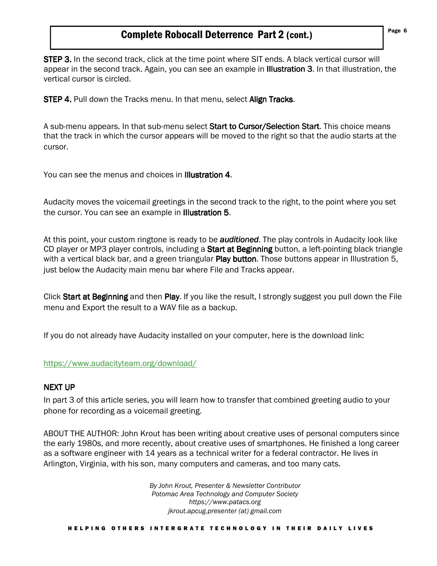## Complete Robocall Deterrence Part 2 (cont.)

STEP 3. In the second track, click at the time point where SIT ends. A black vertical cursor will appear in the second track. Again, you can see an example in **Illustration 3**. In that illustration, the vertical cursor is circled.

**STEP 4.** Pull down the Tracks menu. In that menu, select **Align Tracks**.

A sub-menu appears. In that sub-menu select Start to Cursor/Selection Start. This choice means that the track in which the cursor appears will be moved to the right so that the audio starts at the cursor.

You can see the menus and choices in Illustration 4.

Audacity moves the voicemail greetings in the second track to the right, to the point where you set the cursor. You can see an example in Illustration 5.

At this point, your custom ringtone is ready to be *auditioned*. The play controls in Audacity look like CD player or MP3 player controls, including a **Start at Beginning** button, a left-pointing black triangle with a vertical black bar, and a green triangular Play button. Those buttons appear in Illustration 5, just below the Audacity main menu bar where File and Tracks appear.

Click Start at Beginning and then Play. If you like the result, I strongly suggest you pull down the File menu and Export the result to a WAV file as a backup.

If you do not already have Audacity installed on your computer, here is the download link:

### https://www.audacityteam.org/download/

#### **NEXT UP**

In part 3 of this article series, you will learn how to transfer that combined greeting audio to your phone for recording as a voicemail greeting.

ABOUT THE AUTHOR: John Krout has been writing about creative uses of personal computers since the early 1980s, and more recently, about creative uses of smartphones. He finished a long career as a software engineer with 14 years as a technical writer for a federal contractor. He lives in Arlington, Virginia, with his son, many computers and cameras, and too many cats.

> *By John Krout, Presenter & Newsletter Contributor Potomac Area Technology and Computer Society https://www.patacs.org jkrout.apcug.presenter (at) gmail.com*

H E L P I N G O T H E R S I N T E R G R A T E T E C H N O L O G Y I N T H E I R D A I L Y L I V E S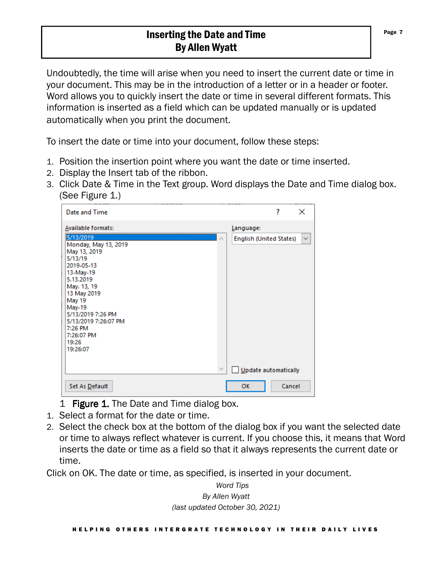# Inserting the Date and Time By Allen Wyatt

Undoubtedly, the time will arise when you need to insert the current date or time in your document. This may be in the introduction of a letter or in a header or footer. Word allows you to quickly insert the date or time in several different formats. This information is inserted as a field which can be updated manually or is updated automatically when you print the document.

To insert the date or time into your document, follow these steps:

- 1. Position the insertion point where you want the date or time inserted.
- 2. Display the Insert tab of the ribbon.
- 3. Click Date & Time in the Text group. Word displays the Date and Time dialog box. (See Figure 1.)

| Date and Time                                                                                                                                                                                                                                                                         |                                      | 7      | ×            |
|---------------------------------------------------------------------------------------------------------------------------------------------------------------------------------------------------------------------------------------------------------------------------------------|--------------------------------------|--------|--------------|
| <b>Available formats:</b><br>5/13/2019<br>Monday, May 13, 2019<br>May 13, 2019<br>5/13/19<br>2019-05-13<br>13-May-19<br>5.13.2019<br>May. 13, 19<br>13 May 2019<br>May 19<br><b>May-19</b><br>5/13/2019 7:26 PM<br>5/13/2019 7:26:07 PM<br>7:26 PM<br>7:26:07 PM<br>19:26<br>19:26:07 | Language:<br>English (United States) |        | $\checkmark$ |
| Set As Default                                                                                                                                                                                                                                                                        | Update automatically<br>OK           | Cancel |              |

- 1 Figure 1. The Date and Time dialog box.
- 1. Select a format for the date or time.
- 2. Select the check box at the bottom of the dialog box if you want the selected date or time to always reflect whatever is current. If you choose this, it means that Word inserts the date or time as a field so that it always represents the current date or time.

Click on OK. The date or time, as specified, is inserted in your document.

*Word Tips By Allen Wyatt (last updated October 30, 2021)*